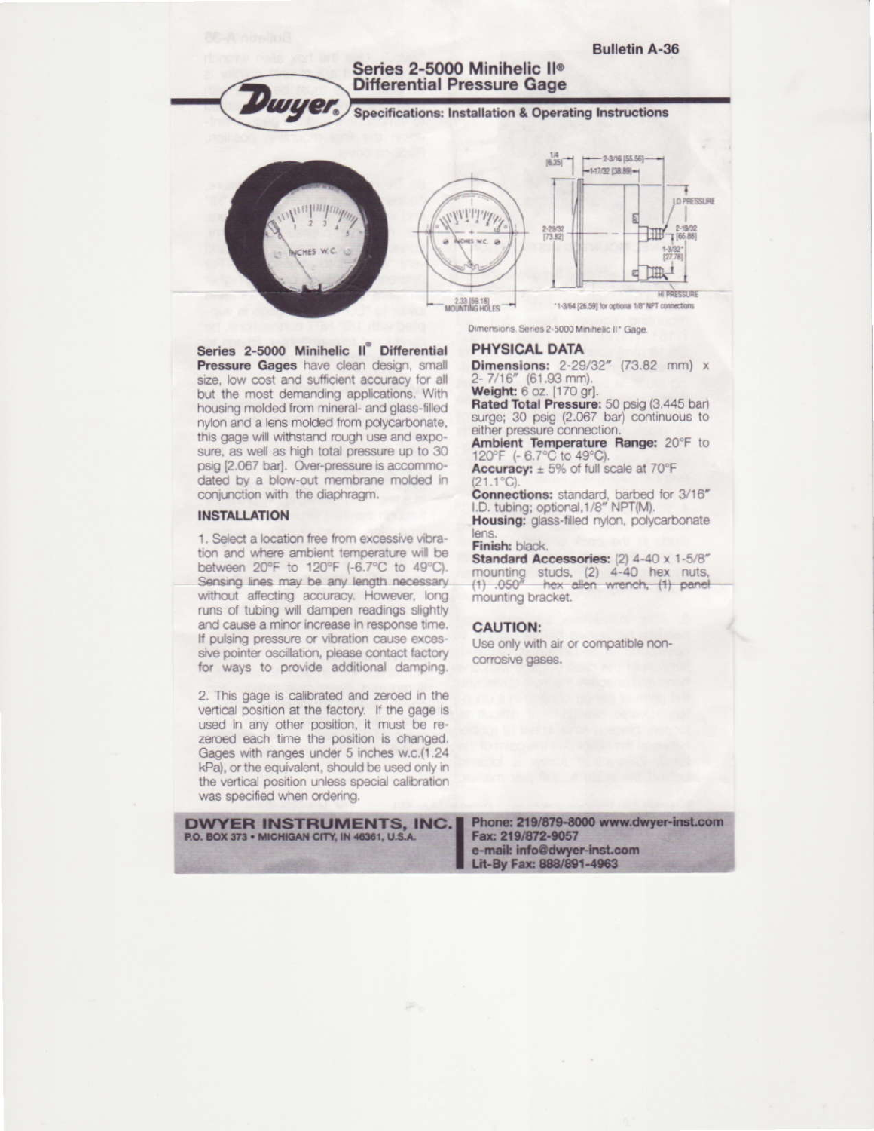**Bulletin A-36** Series 2-5000 Minihelic II® **Differential Pressure Gage Dwyer Specifications: Installation & Operating Instructions**  $-2-3/16$  [55.56] $[6.35]$  $-1-17/32$  [38.89] $-$ LO PRESSURE VITTITI 2-29/32 10 2-19/32 1 Πm e HI PRESSURI 2.33 [59.18]<br>MOUNTING HOLES \*1-3/64 [26.59] for optional 1/8" NPT connections Dimensions, Series 2-5000 Minihelic II\* Gage.

Series 2-5000 Minihelic II<sup>°</sup> Differential Pressure Gages have clean design, small size, low cost and sufficient accuracy for all but the most demanding applications. With housing molded from mineral- and glass-filled nylon and a lens molded from polycarbonate, this gage will withstand rough use and exposure, as well as high total pressure up to 30 psig [2.067 bar]. Over-pressure is accommodated by a blow-out membrane molded in conjunction with the diaphragm.

#### **INSTALLATION**

1. Select a location free from excessive vibration and where ambient temperature will be between 20°F to 120°F (-6.7°C to 49°C). Sensing lines may be any length necessary. without affecting accuracy. However, long runs of tubing will dampen readings slightly and cause a minor increase in response time. If pulsing pressure or vibration cause excessive pointer oscillation, please contact factory for ways to provide additional damping.

2. This gage is calibrated and zeroed in the vertical position at the factory. If the gage is used in any other position, it must be rezeroed each time the position is changed. Gages with ranges under 5 inches w.c.(1.24 kPa), or the equivalent, should be used only in the vertical position unless special calibration was specified when ordering.

**DWYER INSTRUMENTS, INC.** P.O. BOX 373 . MICHIGAN CITY, IN 46361, U.S.A.

**PHYSICAL DATA** 

Dimensions: 2-29/32" (73.82 mm) x 2-7/16" (61.93 mm).<br>Weight: 6 oz. [170 gr].

Rated Total Pressure: 50 psig (3.445 bar) surge; 30 psig (2.067 bar) continuous to either pressure connection.

Ambient Temperature Range: 20°F to 120°F (- 6.7°C to 49°C).

Accuracy:  $\pm 5\%$  of full scale at 70°F  $21.1^{\circ}C$ 

Connections: standard, barbed for 3/16" I.D. tubing; optional, 1/8" NPT(M).

Housing: glass-filled nylon, polycarbonate lens.

Finish: black.

Standard Accessories: (2) 4-40 x 1-5/8" mounting studs, (2) 4-40 hex nuts,<br>(1) .050" hex allen wrench, (1) panel mounting bracket.

# **CAUTION:**

Use only with air or compatible noncorrosive gases.

Phone: 219/879-8000 www.dwyer-inst.com Fax: 219/872-9057 e-mail: info@dwyer-inst.com Lit-By Fax: 888/891-4963